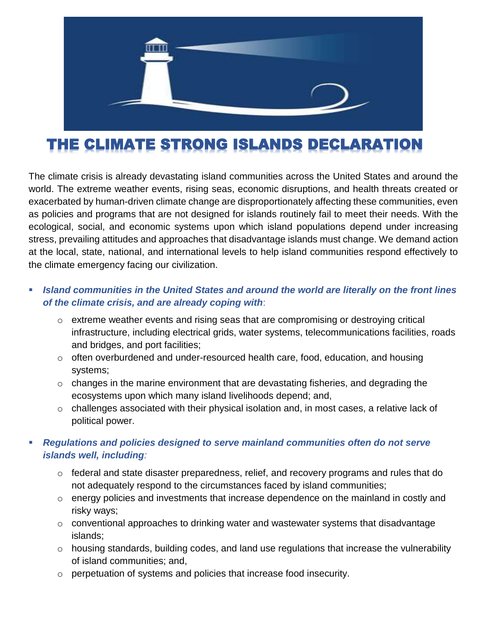

# THE CLIMATE STRONG ISLANDS DECLARATION

The climate crisis is already devastating island communities across the United States and around the world. The extreme weather events, rising seas, economic disruptions, and health threats created or exacerbated by human-driven climate change are disproportionately affecting these communities, even as policies and programs that are not designed for islands routinely fail to meet their needs. With the ecological, social, and economic systems upon which island populations depend under increasing stress, prevailing attitudes and approaches that disadvantage islands must change. We demand action at the local, state, national, and international levels to help island communities respond effectively to the climate emergency facing our civilization.

#### *Island communities in the United States and around the world are literally on the front lines of the climate crisis, and are already coping with*:

- $\circ$  extreme weather events and rising seas that are compromising or destroying critical infrastructure, including electrical grids, water systems, telecommunications facilities, roads and bridges, and port facilities;
- o often overburdened and under-resourced health care, food, education, and housing systems;
- o changes in the marine environment that are devastating fisheries, and degrading the ecosystems upon which many island livelihoods depend; and,
- $\circ$  challenges associated with their physical isolation and, in most cases, a relative lack of political power.

#### *Regulations and policies designed to serve mainland communities often do not serve islands well, including:*

- o federal and state disaster preparedness, relief, and recovery programs and rules that do not adequately respond to the circumstances faced by island communities;
- o energy policies and investments that increase dependence on the mainland in costly and risky ways;
- o conventional approaches to drinking water and wastewater systems that disadvantage islands;
- o housing standards, building codes, and land use regulations that increase the vulnerability of island communities; and,
- o perpetuation of systems and policies that increase food insecurity.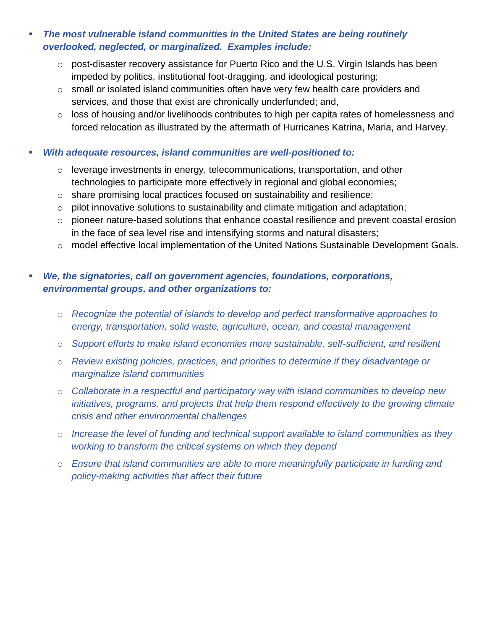- *The most vulnerable island communities in the United States are being routinely overlooked, neglected, or marginalized. Examples include:*
	- $\circ$  post-disaster recovery assistance for Puerto Rico and the U.S. Virgin Islands has been impeded by politics, institutional foot-dragging, and ideological posturing;
	- $\circ$  small or isolated island communities often have very few health care providers and services, and those that exist are chronically underfunded; and,
	- o loss of housing and/or livelihoods contributes to high per capita rates of homelessness and forced relocation as illustrated by the aftermath of Hurricanes Katrina, Maria, and Harvey.
- *With adequate resources, island communities are well-positioned to:*
	- o leverage investments in energy, telecommunications, transportation, and other technologies to participate more effectively in regional and global economies;
	- o share promising local practices focused on sustainability and resilience;
	- $\circ$  pilot innovative solutions to sustainability and climate mitigation and adaptation;
	- o pioneer nature-based solutions that enhance coastal resilience and prevent coastal erosion in the face of sea level rise and intensifying storms and natural disasters;
	- o model effective local implementation of the United Nations Sustainable Development Goals.

#### *We, the signatories, call on government agencies, foundations, corporations, environmental groups, and other organizations to:*

- o *Recognize the potential of islands to develop and perfect transformative approaches to energy, transportation, solid waste, agriculture, ocean, and coastal management*
- o *Support efforts to make island economies more sustainable, self-sufficient, and resilient*
- o *Review existing policies, practices, and priorities to determine if they disadvantage or marginalize island communities*
- o *Collaborate in a respectful and participatory way with island communities to develop new initiatives, programs, and projects that help them respond effectively to the growing climate crisis and other environmental challenges*
- o *Increase the level of funding and technical support available to island communities as they working to transform the critical systems on which they depend*
- o *Ensure that island communities are able to more meaningfully participate in funding and policy-making activities that affect their future*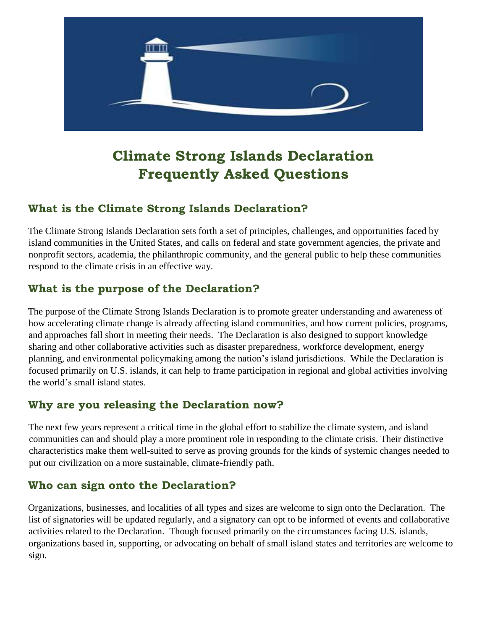

## **Climate Strong Islands Declaration Frequently Asked Questions**

#### **What is the Climate Strong Islands Declaration?**

The Climate Strong Islands Declaration sets forth a set of principles, challenges, and opportunities faced by island communities in the United States, and calls on federal and state government agencies, the private and nonprofit sectors, academia, the philanthropic community, and the general public to help these communities respond to the climate crisis in an effective way.

## **What is the purpose of the Declaration?**

The purpose of the Climate Strong Islands Declaration is to promote greater understanding and awareness of how accelerating climate change is already affecting island communities, and how current policies, programs, and approaches fall short in meeting their needs. The Declaration is also designed to support knowledge sharing and other collaborative activities such as disaster preparedness, workforce development, energy planning, and environmental policymaking among the nation's island jurisdictions. While the Declaration is focused primarily on U.S. islands, it can help to frame participation in regional and global activities involving the world's small island states.

## **Why are you releasing the Declaration now?**

The next few years represent a critical time in the global effort to stabilize the climate system, and island communities can and should play a more prominent role in responding to the climate crisis. Their distinctive characteristics make them well-suited to serve as proving grounds for the kinds of systemic changes needed to put our civilization on a more sustainable, climate-friendly path.

#### **Who can sign onto the Declaration?**

Organizations, businesses, and localities of all types and sizes are welcome to sign onto the Declaration. The list of signatories will be updated regularly, and a signatory can opt to be informed of events and collaborative activities related to the Declaration. Though focused primarily on the circumstances facing U.S. islands, organizations based in, supporting, or advocating on behalf of small island states and territories are welcome to sign.